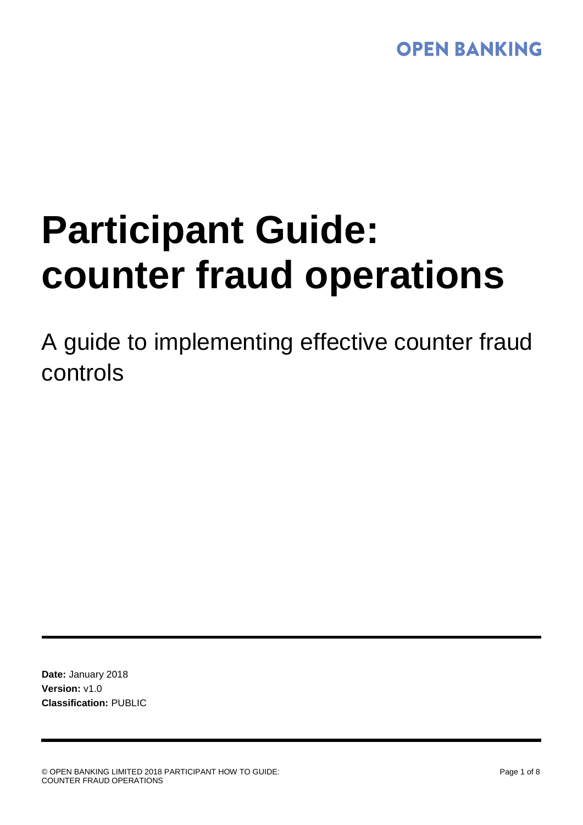## **OPEN BANKING**

# **Participant Guide: counter fraud operations**

A guide to implementing effective counter fraud controls

**Date:** January 2018 **Version:** v1.0 **Classification:** PUBLIC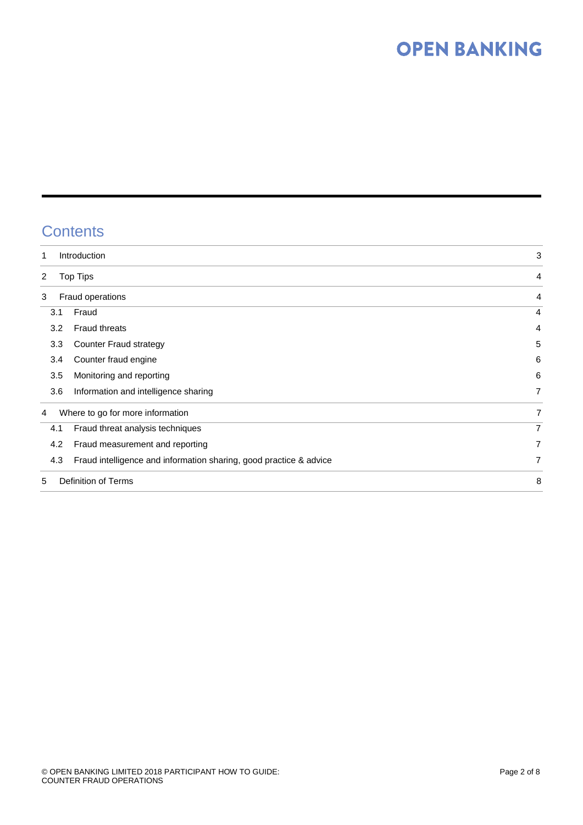# **OPEN BANKING**

## **Contents**

| 1                                     | Introduction                                                       |                |  |  |  |  |  |
|---------------------------------------|--------------------------------------------------------------------|----------------|--|--|--|--|--|
| $\overline{2}$<br>Top Tips            | 4                                                                  |                |  |  |  |  |  |
| 3                                     | Fraud operations                                                   | 4              |  |  |  |  |  |
| 3.1                                   | Fraud                                                              | $\overline{4}$ |  |  |  |  |  |
| 3.2                                   | <b>Fraud threats</b>                                               | 4              |  |  |  |  |  |
| 3.3                                   | Counter Fraud strategy                                             | 5              |  |  |  |  |  |
| 3.4                                   | Counter fraud engine                                               | 6              |  |  |  |  |  |
| 3.5                                   | Monitoring and reporting                                           | 6              |  |  |  |  |  |
| 3.6                                   | Information and intelligence sharing                               | 7              |  |  |  |  |  |
| Where to go for more information<br>4 | 7                                                                  |                |  |  |  |  |  |
| 4.1                                   | Fraud threat analysis techniques                                   | $\overline{7}$ |  |  |  |  |  |
| 4.2                                   | Fraud measurement and reporting                                    | 7              |  |  |  |  |  |
| 4.3                                   | Fraud intelligence and information sharing, good practice & advice | 7              |  |  |  |  |  |
| Definition of Terms<br>5              |                                                                    |                |  |  |  |  |  |
|                                       |                                                                    |                |  |  |  |  |  |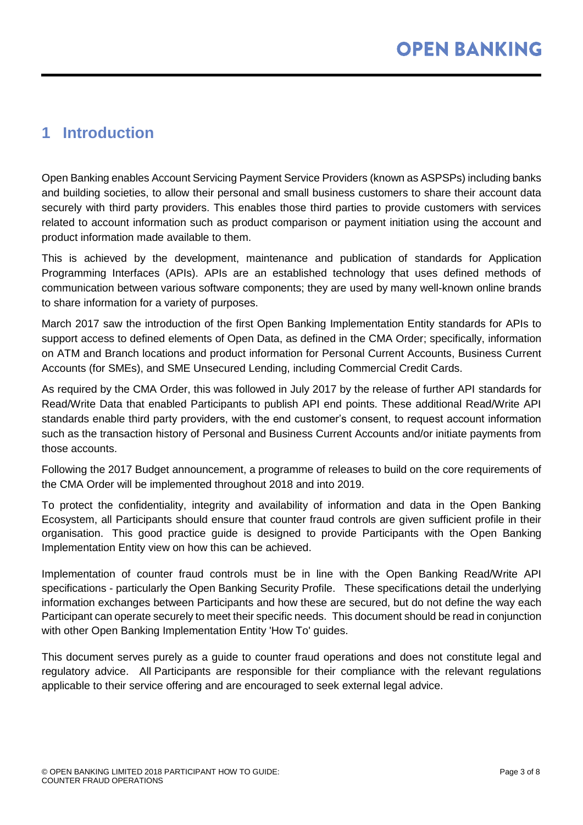## <span id="page-2-0"></span>**1 Introduction**

Open Banking enables Account Servicing Payment Service Providers (known as ASPSPs) including banks and building societies, to allow their personal and small business customers to share their account data securely with third party providers. This enables those third parties to provide customers with services related to account information such as product comparison or payment initiation using the account and product information made available to them.

This is achieved by the development, maintenance and publication of standards for Application Programming Interfaces (APIs). APIs are an established technology that uses defined methods of communication between various software components; they are used by many well-known online brands to share information for a variety of purposes.

March 2017 saw the introduction of the first Open Banking Implementation Entity standards for APIs to support access to defined elements of Open Data, as defined in the CMA Order; specifically, information on ATM and Branch locations and product information for Personal Current Accounts, Business Current Accounts (for SMEs), and SME Unsecured Lending, including Commercial Credit Cards.

As required by the CMA Order, this was followed in July 2017 by the release of further API standards for Read/Write Data that enabled Participants to publish API end points. These additional Read/Write API standards enable third party providers, with the end customer's consent, to request account information such as the transaction history of Personal and Business Current Accounts and/or initiate payments from those accounts.

Following the 2017 Budget announcement, a programme of releases to build on the core requirements of the CMA Order will be implemented throughout 2018 and into 2019.

To protect the confidentiality, integrity and availability of information and data in the Open Banking Ecosystem, all Participants should ensure that counter fraud controls are given sufficient profile in their organisation. This good practice guide is designed to provide Participants with the Open Banking Implementation Entity view on how this can be achieved.

Implementation of counter fraud controls must be in line with the Open Banking Read/Write API specifications - particularly the Open Banking Security Profile. These specifications detail the underlying information exchanges between Participants and how these are secured, but do not define the way each Participant can operate securely to meet their specific needs. This document should be read in conjunction with other Open Banking Implementation Entity 'How To' guides.

This document serves purely as a guide to counter fraud operations and does not constitute legal and regulatory advice. All Participants are responsible for their compliance with the relevant regulations applicable to their service offering and are encouraged to seek external legal advice.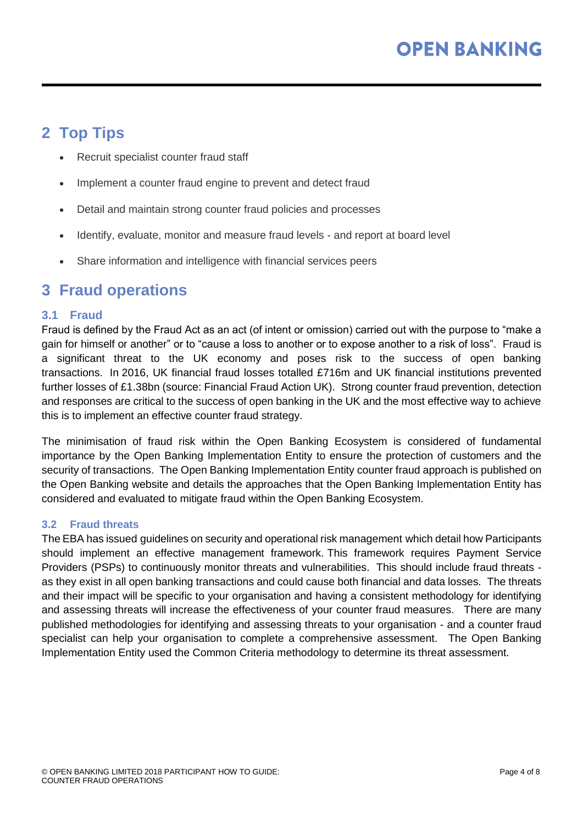## <span id="page-3-0"></span>**2 Top Tips**

- Recruit specialist counter fraud staff
- Implement a counter fraud engine to prevent and detect fraud
- Detail and maintain strong counter fraud policies and processes
- Identify, evaluate, monitor and measure fraud levels and report at board level
- Share information and intelligence with financial services peers

### <span id="page-3-1"></span>**3 Fraud operations**

#### <span id="page-3-2"></span>**3.1 Fraud**

Fraud is defined by the Fraud Act as an act (of intent or omission) carried out with the purpose to "make a gain for himself or another" or to "cause a loss to another or to expose another to a risk of loss". Fraud is a significant threat to the UK economy and poses risk to the success of open banking transactions. In 2016, UK financial fraud losses totalled £716m and UK financial institutions prevented further losses of £1.38bn (source: Financial Fraud Action UK). Strong counter fraud prevention, detection and responses are critical to the success of open banking in the UK and the most effective way to achieve this is to implement an effective counter fraud strategy.

The minimisation of fraud risk within the Open Banking Ecosystem is considered of fundamental importance by the Open Banking Implementation Entity to ensure the protection of customers and the security of transactions. The Open Banking Implementation Entity counter fraud approach is published on the Open Banking website and details the approaches that the Open Banking Implementation Entity has considered and evaluated to mitigate fraud within the Open Banking Ecosystem.

#### <span id="page-3-3"></span>**3.2 Fraud threats**

The EBA has issued guidelines on security and operational risk management which detail how Participants should implement an effective management framework. This framework requires Payment Service Providers (PSPs) to continuously monitor threats and vulnerabilities. This should include fraud threats as they exist in all open banking transactions and could cause both financial and data losses. The threats and their impact will be specific to your organisation and having a consistent methodology for identifying and assessing threats will increase the effectiveness of your counter fraud measures. There are many published methodologies for identifying and assessing threats to your organisation - and a counter fraud specialist can help your organisation to complete a comprehensive assessment. The Open Banking Implementation Entity used the Common Criteria methodology to determine its threat assessment.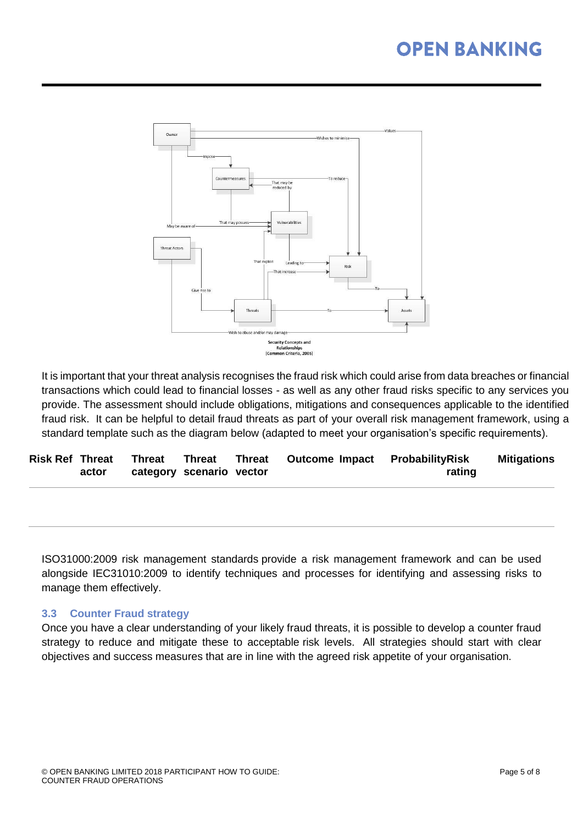

It is important that your threat analysis recognises the fraud risk which could arise from data breaches or financial transactions which could lead to financial losses - as well as any other fraud risks specific to any services you provide. The assessment should include obligations, mitigations and consequences applicable to the identified fraud risk. It can be helpful to detail fraud threats as part of your overall risk management framework, using a standard template such as the diagram below (adapted to meet your organisation's specific requirements).

|       | Risk Ref Threat Threat Threat |  | Threat Outcome Impact ProbabilityRisk |        | Mitigations |
|-------|-------------------------------|--|---------------------------------------|--------|-------------|
| actor | category scenario vector      |  |                                       | rating |             |

ISO31000:2009 risk management standards provide a risk management framework and can be used alongside IEC31010:2009 to identify techniques and processes for identifying and assessing risks to manage them effectively.

#### <span id="page-4-0"></span>**3.3 Counter Fraud strategy**

Once you have a clear understanding of your likely fraud threats, it is possible to develop a counter fraud strategy to reduce and mitigate these to acceptable risk levels. All strategies should start with clear objectives and success measures that are in line with the agreed risk appetite of your organisation.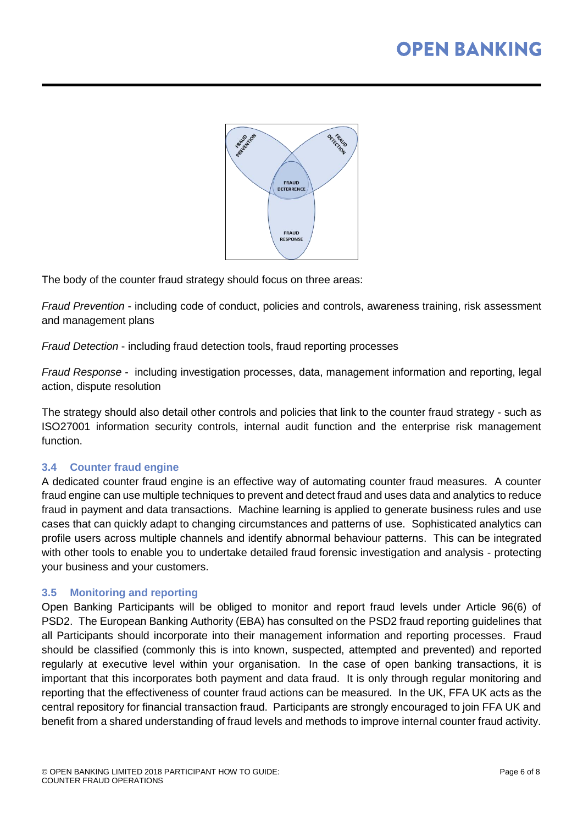

The body of the counter fraud strategy should focus on three areas:

*Fraud Prevention* - including code of conduct, policies and controls, awareness training, risk assessment and management plans

*Fraud Detection* - including fraud detection tools, fraud reporting processes

*Fraud Response* - including investigation processes, data, management information and reporting, legal action, dispute resolution

The strategy should also detail other controls and policies that link to the counter fraud strategy - such as ISO27001 information security controls, internal audit function and the enterprise risk management function.

#### <span id="page-5-0"></span>**3.4 Counter fraud engine**

A dedicated counter fraud engine is an effective way of automating counter fraud measures. A counter fraud engine can use multiple techniques to prevent and detect fraud and uses data and analytics to reduce fraud in payment and data transactions. Machine learning is applied to generate business rules and use cases that can quickly adapt to changing circumstances and patterns of use. Sophisticated analytics can profile users across multiple channels and identify abnormal behaviour patterns. This can be integrated with other tools to enable you to undertake detailed fraud forensic investigation and analysis - protecting your business and your customers.

#### <span id="page-5-1"></span>**3.5 Monitoring and reporting**

Open Banking Participants will be obliged to monitor and report fraud levels under Article 96(6) of PSD2. The European Banking Authority (EBA) has consulted on the PSD2 fraud reporting guidelines that all Participants should incorporate into their management information and reporting processes. Fraud should be classified (commonly this is into known, suspected, attempted and prevented) and reported regularly at executive level within your organisation. In the case of open banking transactions, it is important that this incorporates both payment and data fraud. It is only through regular monitoring and reporting that the effectiveness of counter fraud actions can be measured. In the UK, FFA UK acts as the central repository for financial transaction fraud. Participants are strongly encouraged to join FFA UK and benefit from a shared understanding of fraud levels and methods to improve internal counter fraud activity.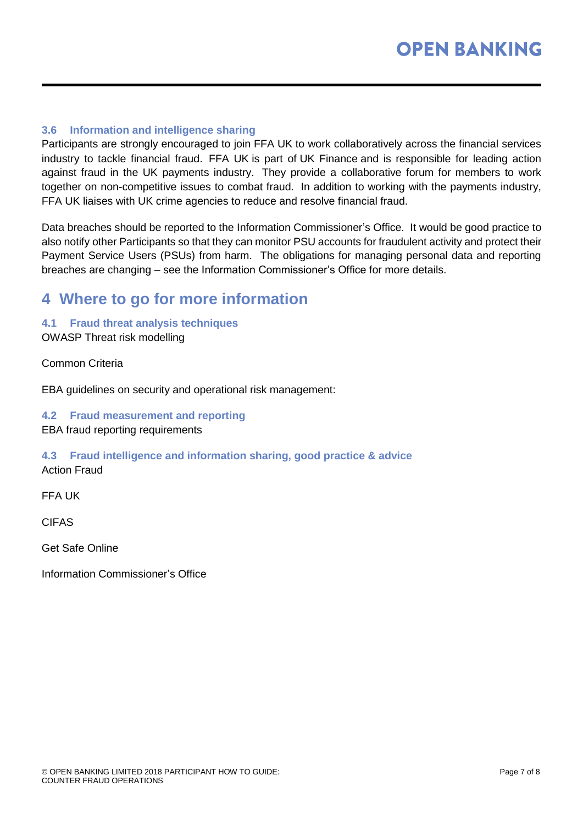#### <span id="page-6-0"></span>**3.6 Information and intelligence sharing**

Participants are strongly encouraged to join FFA UK to work collaboratively across the financial services industry to tackle financial fraud. FFA UK is part of UK Finance and is responsible for leading action against fraud in the UK payments industry. They provide a collaborative forum for members to work together on non-competitive issues to combat fraud. In addition to working with the payments industry, FFA UK liaises with UK crime agencies to reduce and resolve financial fraud.

Data breaches should be reported to the Information Commissioner's Office. It would be good practice to also notify other Participants so that they can monitor PSU accounts for fraudulent activity and protect their Payment Service Users (PSUs) from harm. The obligations for managing personal data and reporting breaches are changing – see the Information Commissioner's Office for more details.

## <span id="page-6-1"></span>**4 Where to go for more information**

<span id="page-6-2"></span>**4.1 Fraud threat analysis techniques**

OWASP Threat risk modelling

Common Criteria

EBA guidelines on security and operational risk management:

#### <span id="page-6-3"></span>**4.2 Fraud measurement and reporting**

EBA fraud reporting requirements

#### <span id="page-6-4"></span>**4.3 Fraud intelligence and information sharing, good practice & advice** Action Fraud

FFA UK

CIFAS

Get Safe Online

Information Commissioner's Office